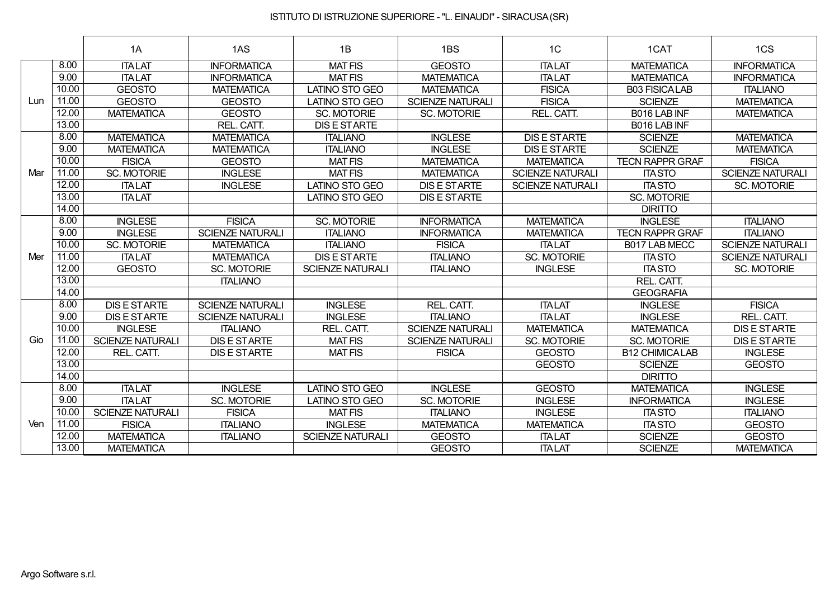|     |       | 1A                      | 1AS                     | 1B                      | 1BS                     | 1C                      | 1CAT                   | 1CS                     |
|-----|-------|-------------------------|-------------------------|-------------------------|-------------------------|-------------------------|------------------------|-------------------------|
|     | 8.00  | <b>ITALAT</b>           | <b>INFORMATICA</b>      | <b>MAT FIS</b>          | <b>GEOSTO</b>           | <b>ITALAT</b>           | <b>MATEMATICA</b>      | <b>INFORMATICA</b>      |
|     | 9.00  | <b>ITALAT</b>           | <b>INFORMATICA</b>      | <b>MAT FIS</b>          | <b>MATEMATICA</b>       | <b>ITALAT</b>           | <b>MATEMATICA</b>      | <b>INFORMATICA</b>      |
|     | 10.00 | <b>GEOSTO</b>           | <b>MATEMATICA</b>       | <b>LATINO STO GEO</b>   | <b>MATEMATICA</b>       | <b>FISICA</b>           | <b>B03 FISICALAB</b>   | <b>ITALIANO</b>         |
| Lun | 11.00 | <b>GEOSTO</b>           | <b>GEOSTO</b>           | <b>LATINO STO GEO</b>   | <b>SCIENZE NATURALI</b> | <b>FISICA</b>           | <b>SCIENZE</b>         | <b>MATEMATICA</b>       |
|     | 12.00 | <b>MATEMATICA</b>       | <b>GEOSTO</b>           | <b>SC. MOTORIE</b>      | <b>SC. MOTORIE</b>      | REL. CATT.              | B016 LAB INF           | <b>MATEMATICA</b>       |
|     | 13.00 |                         | REL. CATT.              | <b>DIS E STARTE</b>     |                         |                         | B016 LAB INF           |                         |
|     | 8.00  | <b>MATEMATICA</b>       | <b>MATEMATICA</b>       | <b>ITALIANO</b>         | <b>INGLESE</b>          | <b>DIS E STARTE</b>     | <b>SCIENZE</b>         | <b>MATEMATICA</b>       |
|     | 9.00  | <b>MATEMATICA</b>       | <b>MATEMATICA</b>       | <b>ITALIANO</b>         | <b>INGLESE</b>          | <b>DIS E STARTE</b>     | <b>SCIENZE</b>         | <b>MATEMATICA</b>       |
|     | 10.00 | <b>FISICA</b>           | <b>GEOSTO</b>           | <b>MAT FIS</b>          | <b>MATEMATICA</b>       | <b>MATEMATICA</b>       | <b>TECN RAPPR GRAF</b> | <b>FISICA</b>           |
| Mar | 11.00 | <b>SC. MOTORIE</b>      | <b>INGLESE</b>          | <b>MAT FIS</b>          | <b>MATEMATICA</b>       | <b>SCIENZE NATURALI</b> | <b>ITA STO</b>         | <b>SCIENZE NATURALI</b> |
|     | 12.00 | <b>ITALAT</b>           | <b>INGLESE</b>          | LATINO STO GEO          | <b>DIS E STARTE</b>     | <b>SCIENZE NATURALI</b> | <b>ITA STO</b>         | <b>SC. MOTORIE</b>      |
|     | 13.00 | <b>ITALAT</b>           |                         | <b>LATINO STO GEO</b>   | <b>DIS E STARTE</b>     |                         | <b>SC. MOTORIE</b>     |                         |
|     | 14.00 |                         |                         |                         |                         |                         | <b>DIRITTO</b>         |                         |
|     | 8.00  | <b>INGLESE</b>          | <b>FISICA</b>           | <b>SC. MOTORIE</b>      | <b>INFORMATICA</b>      | <b>MATEMATICA</b>       | <b>INGLESE</b>         | <b>ITALIANO</b>         |
|     | 9.00  | <b>INGLESE</b>          | <b>SCIENZE NATURALI</b> | <b>ITALIANO</b>         | <b>INFORMATICA</b>      | <b>MATEMATICA</b>       | <b>TECN RAPPR GRAF</b> | <b>ITALIANO</b>         |
|     | 10.00 | <b>SC. MOTORIE</b>      | <b>MATEMATICA</b>       | <b>ITALIANO</b>         | <b>FISICA</b>           | <b>ITALAT</b>           | B017 LAB MECC          | <b>SCIENZE NATURALI</b> |
| Mer | 11.00 | <b>ITALAT</b>           | <b>MATEMATICA</b>       | <b>DISESTARTE</b>       | <b>ITALIANO</b>         | <b>SC. MOTORIE</b>      | <b>ITA STO</b>         | <b>SCIENZE NATURALI</b> |
|     | 12.00 | <b>GEOSTO</b>           | SC. MOTORIE             | <b>SCIENZE NATURALI</b> | <b>ITALIANO</b>         | <b>INGLESE</b>          | <b>ITA STO</b>         | <b>SC. MOTORIE</b>      |
|     | 13.00 |                         | <b>ITALIANO</b>         |                         |                         |                         | REL. CATT.             |                         |
|     | 14.00 |                         |                         |                         |                         |                         | <b>GEOGRAFIA</b>       |                         |
|     | 8.00  | <b>DIS E STARTE</b>     | <b>SCIENZE NATURALI</b> | <b>INGLESE</b>          | REL. CATT.              | <b>ITALAT</b>           | <b>INGLESE</b>         | <b>FISICA</b>           |
|     | 9.00  | <b>DIS E STARTE</b>     | <b>SCIENZE NATURALI</b> | <b>INGLESE</b>          | <b>ITALIANO</b>         | <b>ITALAT</b>           | <b>INGLESE</b>         | REL. CATT.              |
|     | 10.00 | <b>INGLESE</b>          | <b>ITALIANO</b>         | REL. CATT.              | <b>SCIENZE NATURALI</b> | <b>MATEMATICA</b>       | <b>MATEMATICA</b>      | <b>DIS E STARTE</b>     |
| Gio | 11.00 | <b>SCIENZE NATURALI</b> | <b>DIS E STARTE</b>     | <b>MAT FIS</b>          | <b>SCIENZE NATURALI</b> | <b>SC. MOTORIE</b>      | <b>SC. MOTORIE</b>     | <b>DIS E STARTE</b>     |
|     | 12.00 | REL. CATT.              | <b>DIS E STARTE</b>     | <b>MAT FIS</b>          | <b>FISICA</b>           | <b>GEOSTO</b>           | <b>B12 CHIMICALAB</b>  | <b>INGLESE</b>          |
|     | 13.00 |                         |                         |                         |                         | <b>GEOSTO</b>           | <b>SCIENZE</b>         | <b>GEOSTO</b>           |
|     | 14.00 |                         |                         |                         |                         |                         | <b>DIRITTO</b>         |                         |
|     | 8.00  | <b>ITALAT</b>           | <b>INGLESE</b>          | <b>LATINO STO GEO</b>   | <b>INGLESE</b>          | <b>GEOSTO</b>           | <b>MATEMATICA</b>      | <b>INGLESE</b>          |
|     | 9.00  | <b>ITALAT</b>           | <b>SC. MOTORIE</b>      | <b>LATINO STO GEO</b>   | <b>SC. MOTORIE</b>      | <b>INGLESE</b>          | <b>INFORMATICA</b>     | <b>INGLESE</b>          |
|     | 10.00 | <b>SCIENZE NATURALI</b> | <b>FISICA</b>           | <b>MAT FIS</b>          | <b>ITALIANO</b>         | <b>INGLESE</b>          | <b>ITA STO</b>         | <b>ITALIANO</b>         |
| Ven | 11.00 | <b>FISICA</b>           | <b>ITALIANO</b>         | <b>INGLESE</b>          | <b>MATEMATICA</b>       | <b>MATEMATICA</b>       | <b>ITA STO</b>         | <b>GEOSTO</b>           |
|     | 12.00 | <b>MATEMATICA</b>       | <b>ITALIANO</b>         | <b>SCIENZE NATURALI</b> | <b>GEOSTO</b>           | <b>ITALAT</b>           | <b>SCIENZE</b>         | <b>GEOSTO</b>           |
|     | 13.00 | <b>MATEMATICA</b>       |                         |                         | <b>GEOSTO</b>           | <b>ITALAT</b>           | <b>SCIENZE</b>         | <b>MATEMATICA</b>       |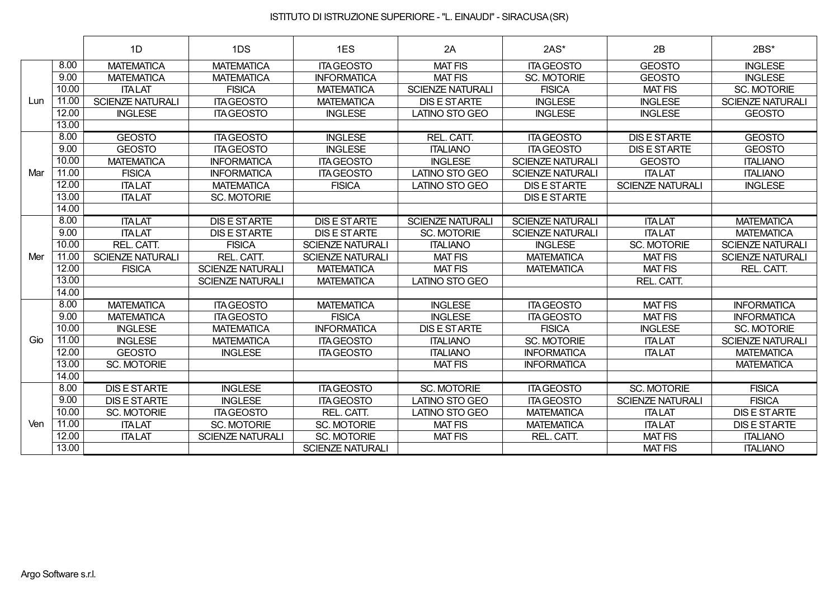|     |       | 1D                      | 1DS                     | 1ES                     | 2A                      | $2AS*$                  | 2B                      | 2BS*                    |
|-----|-------|-------------------------|-------------------------|-------------------------|-------------------------|-------------------------|-------------------------|-------------------------|
|     | 8.00  | <b>MATEMATICA</b>       | <b>MATEMATICA</b>       | <b>ITA GEOSTO</b>       | <b>MAT FIS</b>          | <b>ITA GEOSTO</b>       | <b>GEOSTO</b>           | <b>INGLESE</b>          |
|     | 9.00  | <b>MATEMATICA</b>       | <b>MATEMATICA</b>       | <b>INFORMATICA</b>      | <b>MAT FIS</b>          | SC. MOTORIE             | <b>GEOSTO</b>           | <b>INGLESE</b>          |
|     | 10.00 | <b>ITALAT</b>           | <b>FISICA</b>           | <b>MATEMATICA</b>       | <b>SCIENZE NATURALI</b> | <b>FISICA</b>           | <b>MAT FIS</b>          | <b>SC. MOTORIE</b>      |
| Lun | 11.00 | <b>SCIENZE NATURALI</b> | <b>ITA GEOSTO</b>       | <b>MATEMATICA</b>       | <b>DIS E STARTE</b>     | <b>INGLESE</b>          | <b>INGLESE</b>          | <b>SCIENZE NATURALI</b> |
|     | 12.00 | <b>INGLESE</b>          | <b>ITA GEOSTO</b>       | <b>INGLESE</b>          | <b>LATINO STO GEO</b>   | <b>INGLESE</b>          | <b>INGLESE</b>          | <b>GEOSTO</b>           |
|     | 13.00 |                         |                         |                         |                         |                         |                         |                         |
|     | 8.00  | <b>GEOSTO</b>           | <b>ITA GEOSTO</b>       | <b>INGLESE</b>          | REL. CATT.              | <b>ITA GEOSTO</b>       | <b>DIS E STARTE</b>     | <b>GEOSTO</b>           |
|     | 9.00  | <b>GEOSTO</b>           | <b>ITA GEOSTO</b>       | <b>INGLESE</b>          | <b>ITALIANO</b>         | <b>ITA GEOSTO</b>       | <b>DIS E STARTE</b>     | <b>GEOSTO</b>           |
|     | 10.00 | <b>MATEMATICA</b>       | <b>INFORMATICA</b>      | <b>ITA GEOSTO</b>       | <b>INGLESE</b>          | <b>SCIENZE NATURALI</b> | <b>GEOSTO</b>           | <b>ITALIANO</b>         |
| Mar | 11.00 | <b>FISICA</b>           | <b>INFORMATICA</b>      | <b>ITA GEOSTO</b>       | <b>LATINO STO GEO</b>   | <b>SCIENZE NATURALI</b> | <b>ITALAT</b>           | <b>ITALIANO</b>         |
|     | 12.00 | <b>ITALAT</b>           | <b>MATEMATICA</b>       | <b>FISICA</b>           | <b>LATINO STO GEO</b>   | <b>DIS E STARTE</b>     | <b>SCIENZE NATURALI</b> | <b>INGLESE</b>          |
|     | 13.00 | <b>ITALAT</b>           | SC. MOTORIE             |                         |                         | <b>DIS E STARTE</b>     |                         |                         |
|     | 14.00 |                         |                         |                         |                         |                         |                         |                         |
|     | 8.00  | <b>ITALAT</b>           | <b>DIS E STARTE</b>     | <b>DISESTARTE</b>       | <b>SCIENZE NATURALI</b> | <b>SCIENZE NATURALI</b> | <b>ITALAT</b>           | <b>MATEMATICA</b>       |
|     | 9.00  | <b>ITALAT</b>           | <b>DIS E STARTE</b>     | <b>DIS E STARTE</b>     | <b>SC. MOTORIE</b>      | <b>SCIENZE NATURALI</b> | <b>ITALAT</b>           | <b>MATEMATICA</b>       |
|     | 10.00 | REL. CATT.              | <b>FISICA</b>           | <b>SCIENZE NATURALI</b> | <b>ITALIANO</b>         | <b>INGLESE</b>          | <b>SC. MOTORIE</b>      | <b>SCIENZE NATURALI</b> |
| Mer | 11.00 | <b>SCIENZE NATURALI</b> | REL. CATT.              | <b>SCIENZE NATURALI</b> | <b>MAT FIS</b>          | <b>MATEMATICA</b>       | <b>MAT FIS</b>          | <b>SCIENZE NATURALI</b> |
|     | 12.00 | <b>FISICA</b>           | <b>SCIENZE NATURALI</b> | <b>MATEMATICA</b>       | <b>MAT FIS</b>          | <b>MATEMATICA</b>       | <b>MAT FIS</b>          | REL. CATT.              |
|     | 13.00 |                         | <b>SCIENZE NATURALI</b> | <b>MATEMATICA</b>       | <b>LATINO STO GEO</b>   |                         | REL. CATT.              |                         |
|     | 14.00 |                         |                         |                         |                         |                         |                         |                         |
|     | 8.00  | <b>MATEMATICA</b>       | <b>ITA GEOSTO</b>       | <b>MATEMATICA</b>       | <b>INGLESE</b>          | <b>ITA GEOSTO</b>       | <b>MAT FIS</b>          | <b>INFORMATICA</b>      |
|     | 9.00  | <b>MATEMATICA</b>       | <b>ITA GEOSTO</b>       | <b>FISICA</b>           | <b>INGLESE</b>          | <b>ITA GEOSTO</b>       | <b>MAT FIS</b>          | <b>INFORMATICA</b>      |
|     | 10.00 | <b>INGLESE</b>          | <b>MATEMATICA</b>       | <b>INFORMATICA</b>      | <b>DIS E STARTE</b>     | <b>FISICA</b>           | <b>INGLESE</b>          | <b>SC. MOTORIE</b>      |
| Gio | 11.00 | <b>INGLESE</b>          | <b>MATEMATICA</b>       | <b>ITA GEOSTO</b>       | <b>ITALIANO</b>         | SC. MOTORIE             | <b>ITALAT</b>           | <b>SCIENZE NATURALI</b> |
|     | 12.00 | <b>GEOSTO</b>           | <b>INGLESE</b>          | <b>ITA GEOSTO</b>       | <b>ITALIANO</b>         | <b>INFORMATICA</b>      | <b>ITALAT</b>           | <b>MATEMATICA</b>       |
|     | 13.00 | <b>SC. MOTORIE</b>      |                         |                         | <b>MAT FIS</b>          | <b>INFORMATICA</b>      |                         | <b>MATEMATICA</b>       |
|     | 14.00 |                         |                         |                         |                         |                         |                         |                         |
|     | 8.00  | <b>DIS E STARTE</b>     | <b>INGLESE</b>          | <b>ITA GEOSTO</b>       | <b>SC. MOTORIE</b>      | <b>ITA GEOSTO</b>       | <b>SC. MOTORIE</b>      | <b>FISICA</b>           |
|     | 9.00  | <b>DIS E STARTE</b>     | <b>INGLESE</b>          | <b>ITA GEOSTO</b>       | <b>LATINO STO GEO</b>   | <b>ITA GEOSTO</b>       | <b>SCIENZE NATURALI</b> | <b>FISICA</b>           |
|     | 10.00 | <b>SC. MOTORIE</b>      | <b>ITA GEOSTO</b>       | REL. CATT.              | <b>LATINO STO GEO</b>   | <b>MATEMATICA</b>       | <b>ITALAT</b>           | <b>DIS E STARTE</b>     |
| Ven | 11.00 | <b>ITALAT</b>           | SC. MOTORIE             | <b>SC. MOTORIE</b>      | <b>MAT FIS</b>          | <b>MATEMATICA</b>       | <b>ITALAT</b>           | <b>DIS E STARTE</b>     |
|     | 12.00 | <b>ITALAT</b>           | <b>SCIENZE NATURALI</b> | <b>SC. MOTORIE</b>      | <b>MAT FIS</b>          | REL. CATT.              | <b>MAT FIS</b>          | <b>ITALIANO</b>         |
|     | 13.00 |                         |                         | <b>SCIENZE NATURALI</b> |                         |                         | <b>MAT FIS</b>          | <b>ITALIANO</b>         |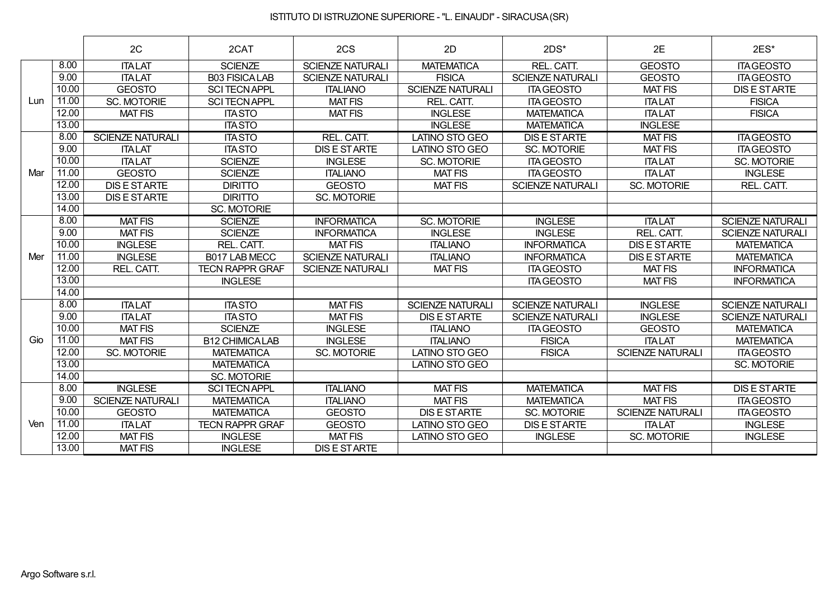|     |       | 2C                      | 2CAT                   | 2CS                     | 2D                      | $2DS*$                  | 2E                      | 2ES*                    |
|-----|-------|-------------------------|------------------------|-------------------------|-------------------------|-------------------------|-------------------------|-------------------------|
|     | 8.00  | <b>ITALAT</b>           | <b>SCIENZE</b>         | <b>SCIENZE NATURALI</b> | <b>MATEMATICA</b>       | REL. CATT.              | <b>GEOSTO</b>           | <b>ITAGEOSTO</b>        |
|     | 9.00  | <b>ITALAT</b>           | <b>B03 FISICALAB</b>   | <b>SCIENZE NATURALI</b> | <b>FISICA</b>           | <b>SCIENZE NATURALI</b> | <b>GEOSTO</b>           | <b>ITA GEOSTO</b>       |
|     | 10.00 | <b>GEOSTO</b>           | <b>SCI TECN APPL</b>   | <b>ITALIANO</b>         | <b>SCIENZE NATURALI</b> | <b>ITA GEOSTO</b>       | <b>MAT FIS</b>          | <b>DIS E STARTE</b>     |
| Lun | 11.00 | <b>SC. MOTORIE</b>      | <b>SCI TECN APPL</b>   | <b>MAT FIS</b>          | REL. CATT.              | <b>ITA GEOSTO</b>       | <b>ITALAT</b>           | <b>FISICA</b>           |
|     | 12.00 | <b>MAT FIS</b>          | <b>ITA STO</b>         | <b>MAT FIS</b>          | <b>INGLESE</b>          | <b>MATEMATICA</b>       | <b>ITALAT</b>           | <b>FISICA</b>           |
|     | 13.00 |                         | <b>ITA STO</b>         |                         | <b>INGLESE</b>          | <b>MATEMATICA</b>       | <b>INGLESE</b>          |                         |
|     | 8.00  | <b>SCIENZE NATURALI</b> | <b>ITA STO</b>         | REL. CATT.              | <b>LATINO STO GEO</b>   | <b>DIS E STARTE</b>     | <b>MAT FIS</b>          | <b>ITA GEOSTO</b>       |
|     | 9.00  | <b>ITALAT</b>           | <b>ITA STO</b>         | <b>DIS E STARTE</b>     | <b>LATINO STO GEO</b>   | <b>SC. MOTORIE</b>      | <b>MAT FIS</b>          | <b>ITA GEOSTO</b>       |
|     | 10.00 | <b>ITALAT</b>           | <b>SCIENZE</b>         | <b>INGLESE</b>          | <b>SC. MOTORIE</b>      | <b>ITA GEOSTO</b>       | <b>ITALAT</b>           | <b>SC. MOTORIE</b>      |
| Mar | 11.00 | <b>GEOSTO</b>           | <b>SCIENZE</b>         | <b>ITALIANO</b>         | <b>MAT FIS</b>          | <b>ITA GEOSTO</b>       | <b>ITALAT</b>           | <b>INGLESE</b>          |
|     | 12.00 | <b>DIS E STARTE</b>     | <b>DIRITTO</b>         | <b>GEOSTO</b>           | <b>MAT FIS</b>          | <b>SCIENZE NATURALI</b> | <b>SC. MOTORIE</b>      | REL. CATT.              |
|     | 13.00 | <b>DIS E STARTE</b>     | <b>DIRITTO</b>         | <b>SC. MOTORIE</b>      |                         |                         |                         |                         |
|     | 14.00 |                         | SC. MOTORIE            |                         |                         |                         |                         |                         |
|     | 8.00  | <b>MAT FIS</b>          | <b>SCIENZE</b>         | <b>INFORMATICA</b>      | <b>SC. MOTORIE</b>      | <b>INGLESE</b>          | <b>ITALAT</b>           | <b>SCIENZE NATURALI</b> |
|     | 9.00  | <b>MAT FIS</b>          | <b>SCIENZE</b>         | <b>INFORMATICA</b>      | <b>INGLESE</b>          | <b>INGLESE</b>          | REL. CATT.              | <b>SCIENZE NATURALI</b> |
|     | 10.00 | <b>INGLESE</b>          | REL. CATT.             | <b>MAT FIS</b>          | <b>ITALIANO</b>         | <b>INFORMATICA</b>      | <b>DIS E STARTE</b>     | <b>MATEMATICA</b>       |
| Mer | 11.00 | <b>INGLESE</b>          | B017 LAB MECC          | <b>SCIENZE NATURALI</b> | <b>ITALIANO</b>         | <b>INFORMATICA</b>      | <b>DIS E STARTE</b>     | <b>MATEMATICA</b>       |
|     | 12.00 | REL. CATT.              | <b>TECN RAPPR GRAF</b> | <b>SCIENZE NATURALI</b> | <b>MAT FIS</b>          | <b>ITA GEOSTO</b>       | <b>MAT FIS</b>          | <b>INFORMATICA</b>      |
|     | 13.00 |                         | <b>INGLESE</b>         |                         |                         | <b>ITA GEOSTO</b>       | <b>MAT FIS</b>          | <b>INFORMATICA</b>      |
|     | 14.00 |                         |                        |                         |                         |                         |                         |                         |
|     | 8.00  | <b>ITALAT</b>           | <b>ITASTO</b>          | <b>MAT FIS</b>          | <b>SCIENZE NATURALI</b> | <b>SCIENZE NATURALI</b> | <b>INGLESE</b>          | <b>SCIENZE NATURALI</b> |
|     | 9.00  | <b>ITALAT</b>           | <b>ITA STO</b>         | <b>MAT FIS</b>          | <b>DIS E STARTE</b>     | <b>SCIENZE NATURALI</b> | <b>INGLESE</b>          | <b>SCIENZE NATURALI</b> |
|     | 10.00 | <b>MAT FIS</b>          | <b>SCIENZE</b>         | <b>INGLESE</b>          | <b>ITALIANO</b>         | <b>ITA GEOSTO</b>       | <b>GEOSTO</b>           | <b>MATEMATICA</b>       |
| Gio | 11.00 | <b>MAT FIS</b>          | <b>B12 CHIMICALAB</b>  | <b>INGLESE</b>          | <b>ITALIANO</b>         | <b>FISICA</b>           | <b>ITALAT</b>           | <b>MATEMATICA</b>       |
|     | 12.00 | <b>SC. MOTORIE</b>      | <b>MATEMATICA</b>      | <b>SC. MOTORIE</b>      | <b>LATINO STO GEO</b>   | <b>FISICA</b>           | <b>SCIENZE NATURALI</b> | <b>ITA GEOSTO</b>       |
|     | 13.00 |                         | <b>MATEMATICA</b>      |                         | <b>LATINO STO GEO</b>   |                         |                         | <b>SC. MOTORIE</b>      |
|     | 14.00 |                         | SC. MOTORIE            |                         |                         |                         |                         |                         |
|     | 8.00  | <b>INGLESE</b>          | <b>SCI TECN APPL</b>   | <b>ITALIANO</b>         | <b>MAT FIS</b>          | <b>MATEMATICA</b>       | <b>MAT FIS</b>          | <b>DIS E STARTE</b>     |
|     | 9.00  | <b>SCIENZE NATURALI</b> | <b>MATEMATICA</b>      | <b>ITALIANO</b>         | <b>MAT FIS</b>          | <b>MATEMATICA</b>       | <b>MAT FIS</b>          | <b>ITAGEOSTO</b>        |
|     | 10.00 | <b>GEOSTO</b>           | <b>MATEMATICA</b>      | <b>GEOSTO</b>           | <b>DIS E STARTE</b>     | <b>SC. MOTORIE</b>      | <b>SCIENZE NATURALI</b> | <b>ITA GEOSTO</b>       |
| Ven | 11.00 | <b>ITALAT</b>           | <b>TECN RAPPR GRAF</b> | <b>GEOSTO</b>           | <b>LATINO STO GEO</b>   | <b>DIS E STARTE</b>     | <b>ITALAT</b>           | <b>INGLESE</b>          |
|     | 12.00 | <b>MAT FIS</b>          | <b>INGLESE</b>         | <b>MAT FIS</b>          | <b>LATINO STO GEO</b>   | <b>INGLESE</b>          | <b>SC. MOTORIE</b>      | <b>INGLESE</b>          |
|     | 13.00 | <b>MAT FIS</b>          | <b>INGLESE</b>         | <b>DIS E STARTE</b>     |                         |                         |                         |                         |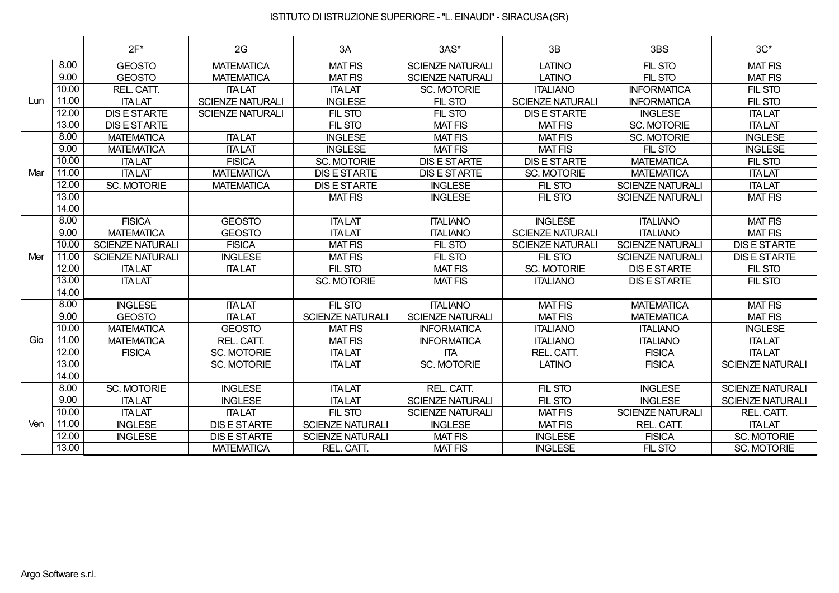|     |       | $2F^*$                  | 2G                      | 3A                      | $3AS*$                  | 3B                      | 3BS                     | $3C^*$                  |
|-----|-------|-------------------------|-------------------------|-------------------------|-------------------------|-------------------------|-------------------------|-------------------------|
|     | 8.00  | <b>GEOSTO</b>           | <b>MATEMATICA</b>       | <b>MAT FIS</b>          | <b>SCIENZE NATURALI</b> | <b>LATINO</b>           | FIL STO                 | <b>MAT FIS</b>          |
|     | 9.00  | <b>GEOSTO</b>           | <b>MATEMATICA</b>       | <b>MAT FIS</b>          | <b>SCIENZE NATURALI</b> | <b>LATINO</b>           | FIL STO                 | <b>MAT FIS</b>          |
|     | 10.00 | REL. CATT.              | <b>ITALAT</b>           | <b>ITALAT</b>           | <b>SC. MOTORIE</b>      | <b>ITALIANO</b>         | <b>INFORMATICA</b>      | FIL STO                 |
| Lun | 11.00 | <b>ITALAT</b>           | <b>SCIENZE NATURALI</b> | <b>INGLESE</b>          | FIL STO                 | <b>SCIENZE NATURALI</b> | <b>INFORMATICA</b>      | FIL STO                 |
|     | 12.00 | <b>DIS E STARTE</b>     | <b>SCIENZE NATURALI</b> | FIL STO                 | FIL STO                 | <b>DIS E STARTE</b>     | <b>INGLESE</b>          | <b>ITALAT</b>           |
|     | 13.00 | <b>DIS E STARTE</b>     |                         | FIL STO                 | <b>MAT FIS</b>          | <b>MAT FIS</b>          | <b>SC. MOTORIE</b>      | <b>ITALAT</b>           |
|     | 8.00  | <b>MATEMATICA</b>       | <b>ITALAT</b>           | <b>INGLESE</b>          | <b>MAT FIS</b>          | <b>MAT FIS</b>          | SC. MOTORIE             | <b>INGLESE</b>          |
|     | 9.00  | <b>MATEMATICA</b>       | <b>ITALAT</b>           | <b>INGLESE</b>          | <b>MAT FIS</b>          | <b>MAT FIS</b>          | FIL STO                 | <b>INGLESE</b>          |
|     | 10.00 | <b>ITALAT</b>           | <b>FISICA</b>           | <b>SC. MOTORIE</b>      | <b>DIS E STARTE</b>     | <b>DIS E STARTE</b>     | <b>MATEMATICA</b>       | FIL STO                 |
| Mar | 11.00 | <b>ITALAT</b>           | <b>MATEMATICA</b>       | <b>DIS E STARTE</b>     | <b>DIS E STARTE</b>     | <b>SC. MOTORIE</b>      | <b>MATEMATICA</b>       | <b>ITALAT</b>           |
|     | 12.00 | <b>SC. MOTORIE</b>      | <b>MATEMATICA</b>       | <b>DISE STARTE</b>      | <b>INGLESE</b>          | FIL STO                 | <b>SCIENZE NATURALI</b> | <b>ITALAT</b>           |
|     | 13.00 |                         |                         | <b>MAT FIS</b>          | <b>INGLESE</b>          | FIL STO                 | <b>SCIENZE NATURALI</b> | <b>MAT FIS</b>          |
|     | 14.00 |                         |                         |                         |                         |                         |                         |                         |
|     | 8.00  | <b>FISICA</b>           | <b>GEOSTO</b>           | <b>ITALAT</b>           | <b>ITALIANO</b>         | <b>INGLESE</b>          | <b>ITALIANO</b>         | <b>MAT FIS</b>          |
|     | 9.00  | <b>MATEMATICA</b>       | <b>GEOSTO</b>           | <b>ITALAT</b>           | <b>ITALIANO</b>         | <b>SCIENZE NATURALI</b> | <b>ITALIANO</b>         | <b>MAT FIS</b>          |
|     | 10.00 | <b>SCIENZE NATURALI</b> | <b>FISICA</b>           | <b>MAT FIS</b>          | FIL STO                 | <b>SCIENZE NATURALI</b> | <b>SCIENZE NATURALI</b> | <b>DIS E STARTE</b>     |
| Mer | 11.00 | <b>SCIENZE NATURALI</b> | <b>INGLESE</b>          | <b>MAT FIS</b>          | FIL STO                 | FIL STO                 | <b>SCIENZE NATURALI</b> | <b>DIS E STARTE</b>     |
|     | 12.00 | <b>ITALAT</b>           | <b>ITALAT</b>           | FIL STO                 | <b>MAT FIS</b>          | <b>SC. MOTORIE</b>      | <b>DIS E STARTE</b>     | FIL STO                 |
|     | 13.00 | <b>ITALAT</b>           |                         | <b>SC. MOTORIE</b>      | <b>MAT FIS</b>          | <b>ITALIANO</b>         | <b>DIS E STARTE</b>     | FIL STO                 |
|     | 14.00 |                         |                         |                         |                         |                         |                         |                         |
|     | 8.00  | <b>INGLESE</b>          | <b>ITALAT</b>           | FIL STO                 | <b>ITALIANO</b>         | <b>MAT FIS</b>          | <b>MATEMATICA</b>       | <b>MAT FIS</b>          |
|     | 9.00  | <b>GEOSTO</b>           | <b>ITALAT</b>           | <b>SCIENZE NATURALI</b> | <b>SCIENZE NATURALI</b> | <b>MAT FIS</b>          | <b>MATEMATICA</b>       | <b>MAT FIS</b>          |
|     | 10.00 | <b>MATEMATICA</b>       | <b>GEOSTO</b>           | <b>MAT FIS</b>          | <b>INFORMATICA</b>      | <b>ITALIANO</b>         | <b>ITALIANO</b>         | <b>INGLESE</b>          |
| Gio | 11.00 | <b>MATEMATICA</b>       | REL. CATT.              | <b>MAT FIS</b>          | <b>INFORMATICA</b>      | <b>ITALIANO</b>         | <b>ITALIANO</b>         | <b>ITALAT</b>           |
|     | 12.00 | <b>FISICA</b>           | SC. MOTORIE             | <b>ITALAT</b>           | <b>ITA</b>              | REL. CATT.              | <b>FISICA</b>           | <b>ITALAT</b>           |
|     | 13.00 |                         | SC. MOTORIE             | <b>ITALAT</b>           | <b>SC. MOTORIE</b>      | <b>LATINO</b>           | <b>FISICA</b>           | <b>SCIENZE NATURALI</b> |
|     | 14.00 |                         |                         |                         |                         |                         |                         |                         |
|     | 8.00  | <b>SC. MOTORIE</b>      | <b>INGLESE</b>          | <b>ITALAT</b>           | REL. CATT.              | FIL STO                 | <b>INGLESE</b>          | <b>SCIENZE NATURALI</b> |
|     | 9.00  | <b>ITALAT</b>           | <b>INGLESE</b>          | <b>ITALAT</b>           | <b>SCIENZE NATURALI</b> | FIL STO                 | <b>INGLESE</b>          | <b>SCIENZE NATURALI</b> |
|     | 10.00 | <b>ITALAT</b>           | <b>ITALAT</b>           | FIL STO                 | <b>SCIENZE NATURALI</b> | <b>MAT FIS</b>          | <b>SCIENZE NATURALI</b> | REL. CATT.              |
| Ven | 11.00 | <b>INGLESE</b>          | <b>DIS E STARTE</b>     | <b>SCIENZE NATURALI</b> | <b>INGLESE</b>          | <b>MAT FIS</b>          | REL. CATT.              | <b>ITALAT</b>           |
|     | 12.00 | <b>INGLESE</b>          | <b>DIS E STARTE</b>     | <b>SCIENZE NATURALI</b> | <b>MAT FIS</b>          | <b>INGLESE</b>          | <b>FISICA</b>           | <b>SC. MOTORIE</b>      |
|     | 13.00 |                         | <b>MATEMATICA</b>       | REL. CATT.              | <b>MAT FIS</b>          | <b>INGLESE</b>          | FIL STO                 | <b>SC. MOTORIE</b>      |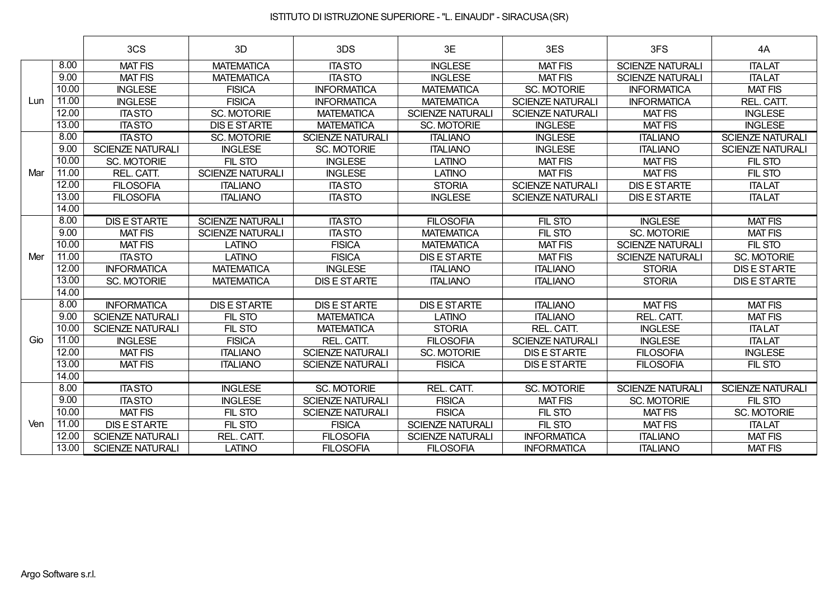|     |       | 3CS                     | 3D                      | 3DS                     | 3E                      | 3ES                     | 3FS                     | 4A                      |
|-----|-------|-------------------------|-------------------------|-------------------------|-------------------------|-------------------------|-------------------------|-------------------------|
|     | 8.00  | <b>MAT FIS</b>          | <b>MATEMATICA</b>       | <b>ITA STO</b>          | <b>INGLESE</b>          | <b>MAT FIS</b>          | <b>SCIENZE NATURALI</b> | <b>ITALAT</b>           |
|     | 9.00  | <b>MAT FIS</b>          | <b>MATEMATICA</b>       | <b>ITA STO</b>          | <b>INGLESE</b>          | <b>MAT FIS</b>          | <b>SCIENZE NATURALI</b> | <b>ITALAT</b>           |
|     | 10.00 | <b>INGLESE</b>          | <b>FISICA</b>           | <b>INFORMATICA</b>      | <b>MATEMATICA</b>       | <b>SC. MOTORIE</b>      | <b>INFORMATICA</b>      | <b>MAT FIS</b>          |
| Lun | 11.00 | <b>INGLESE</b>          | <b>FISICA</b>           | <b>INFORMATICA</b>      | <b>MATEMATICA</b>       | <b>SCIENZE NATURALI</b> | <b>INFORMATICA</b>      | REL. CATT.              |
|     | 12.00 | <b>ITASTO</b>           | <b>SC. MOTORIE</b>      | <b>MATEMATICA</b>       | <b>SCIENZE NATURALI</b> | <b>SCIENZE NATURALI</b> | <b>MAT FIS</b>          | <b>INGLESE</b>          |
|     | 13.00 | <b>ITASTO</b>           | <b>DIS E STARTE</b>     | <b>MATEMATICA</b>       | <b>SC. MOTORIE</b>      | <b>INGLESE</b>          | <b>MAT FIS</b>          | <b>INGLESE</b>          |
|     | 8.00  | <b>ITASTO</b>           | <b>SC. MOTORIE</b>      | <b>SCIENZE NATURALI</b> | <b>ITALIANO</b>         | <b>INGLESE</b>          | <b>ITALIANO</b>         | <b>SCIENZE NATURALI</b> |
|     | 9.00  | <b>SCIENZE NATURALI</b> | <b>INGLESE</b>          | <b>SC. MOTORIE</b>      | <b>ITALIANO</b>         | <b>INGLESE</b>          | <b>ITALIANO</b>         | <b>SCIENZE NATURALI</b> |
|     | 10.00 | <b>SC. MOTORIE</b>      | FIL STO                 | <b>INGLESE</b>          | <b>LATINO</b>           | <b>MAT FIS</b>          | <b>MAT FIS</b>          | FIL STO                 |
| Mar | 11.00 | REL. CATT.              | <b>SCIENZE NATURALI</b> | <b>INGLESE</b>          | <b>LATINO</b>           | <b>MAT FIS</b>          | <b>MAT FIS</b>          | FIL STO                 |
|     | 12.00 | <b>FILOSOFIA</b>        | <b>ITALIANO</b>         | <b>ITA STO</b>          | <b>STORIA</b>           | <b>SCIENZE NATURALI</b> | <b>DIS E STARTE</b>     | <b>ITALAT</b>           |
|     | 13.00 | <b>FILOSOFIA</b>        | <b>ITALIANO</b>         | <b>ITA STO</b>          | <b>INGLESE</b>          | <b>SCIENZE NATURALI</b> | <b>DIS E STARTE</b>     | <b>ITALAT</b>           |
|     | 14.00 |                         |                         |                         |                         |                         |                         |                         |
|     | 8.00  | <b>DIS E STARTE</b>     | <b>SCIENZE NATURALI</b> | <b>ITASTO</b>           | <b>FILOSOFIA</b>        | FIL STO                 | <b>INGLESE</b>          | <b>MAT FIS</b>          |
|     | 9.00  | <b>MAT FIS</b>          | <b>SCIENZE NATURALI</b> | <b>ITA STO</b>          | <b>MATEMATICA</b>       | FIL STO                 | <b>SC. MOTORIE</b>      | <b>MAT FIS</b>          |
|     | 10.00 | <b>MAT FIS</b>          | <b>LATINO</b>           | <b>FISICA</b>           | <b>MATEMATICA</b>       | <b>MAT FIS</b>          | <b>SCIENZE NATURALI</b> | FIL STO                 |
| Mer | 11.00 | <b>ITASTO</b>           | <b>LATINO</b>           | <b>FISICA</b>           | <b>DIS E STARTE</b>     | <b>MAT FIS</b>          | <b>SCIENZE NATURALI</b> | <b>SC. MOTORIE</b>      |
|     | 12.00 | <b>INFORMATICA</b>      | <b>MATEMATICA</b>       | <b>INGLESE</b>          | <b>ITALIANO</b>         | <b>ITALIANO</b>         | <b>STORIA</b>           | <b>DIS E STARTE</b>     |
|     | 13.00 | <b>SC. MOTORIE</b>      | <b>MATEMATICA</b>       | <b>DIS E STARTE</b>     | <b>ITALIANO</b>         | <b>ITALIANO</b>         | <b>STORIA</b>           | <b>DIS E STARTE</b>     |
|     | 14.00 |                         |                         |                         |                         |                         |                         |                         |
|     | 8.00  | <b>INFORMATICA</b>      | <b>DIS E STARTE</b>     | <b>DISESTARTE</b>       | <b>DIS E STARTE</b>     | <b>ITALIANO</b>         | <b>MAT FIS</b>          | <b>MAT FIS</b>          |
|     | 9.00  | <b>SCIENZE NATURALI</b> | FIL STO                 | <b>MATEMATICA</b>       | <b>LATINO</b>           | <b>ITALIANO</b>         | REL. CATT.              | <b>MAT FIS</b>          |
|     | 10.00 | <b>SCIENZE NATURALI</b> | FIL STO                 | <b>MATEMATICA</b>       | <b>STORIA</b>           | REL. CATT.              | <b>INGLESE</b>          | <b>ITALAT</b>           |
| Gio | 11.00 | <b>INGLESE</b>          | <b>FISICA</b>           | REL. CATT.              | <b>FILOSOFIA</b>        | <b>SCIENZE NATURALI</b> | <b>INGLESE</b>          | <b>ITALAT</b>           |
|     | 12.00 | <b>MAT FIS</b>          | <b>ITALIANO</b>         | <b>SCIENZE NATURALI</b> | <b>SC. MOTORIE</b>      | <b>DIS E STARTE</b>     | <b>FILOSOFIA</b>        | <b>INGLESE</b>          |
|     | 13.00 | <b>MAT FIS</b>          | <b>ITALIANO</b>         | <b>SCIENZE NATURALI</b> | <b>FISICA</b>           | <b>DIS E STARTE</b>     | <b>FILOSOFIA</b>        | FIL STO                 |
|     | 14.00 |                         |                         |                         |                         |                         |                         |                         |
|     | 8.00  | <b>ITASTO</b>           | <b>INGLESE</b>          | <b>SC. MOTORIE</b>      | REL. CATT.              | <b>SC. MOTORIE</b>      | <b>SCIENZE NATURALI</b> | <b>SCIENZE NATURALI</b> |
|     | 9.00  | <b>ITASTO</b>           | <b>INGLESE</b>          | <b>SCIENZE NATURALI</b> | <b>FISICA</b>           | <b>MAT FIS</b>          | <b>SC. MOTORIE</b>      | FIL STO                 |
|     | 10.00 | <b>MAT FIS</b>          | FIL STO                 | <b>SCIENZE NATURALI</b> | <b>FISICA</b>           | FIL STO                 | <b>MAT FIS</b>          | SC. MOTORIE             |
| Ven | 11.00 | <b>DIS E STARTE</b>     | FIL STO                 | <b>FISICA</b>           | <b>SCIENZE NATURALI</b> | FIL STO                 | <b>MAT FIS</b>          | <b>ITALAT</b>           |
|     | 12.00 | <b>SCIENZE NATURALI</b> | REL. CATT.              | <b>FILOSOFIA</b>        | <b>SCIENZE NATURALI</b> | <b>INFORMATICA</b>      | <b>ITALIANO</b>         | <b>MAT FIS</b>          |
|     | 13.00 | <b>SCIENZE NATURALI</b> | <b>LATINO</b>           | <b>FILOSOFIA</b>        | <b>FILOSOFIA</b>        | <b>INFORMATICA</b>      | <b>ITALIANO</b>         | <b>MAT FIS</b>          |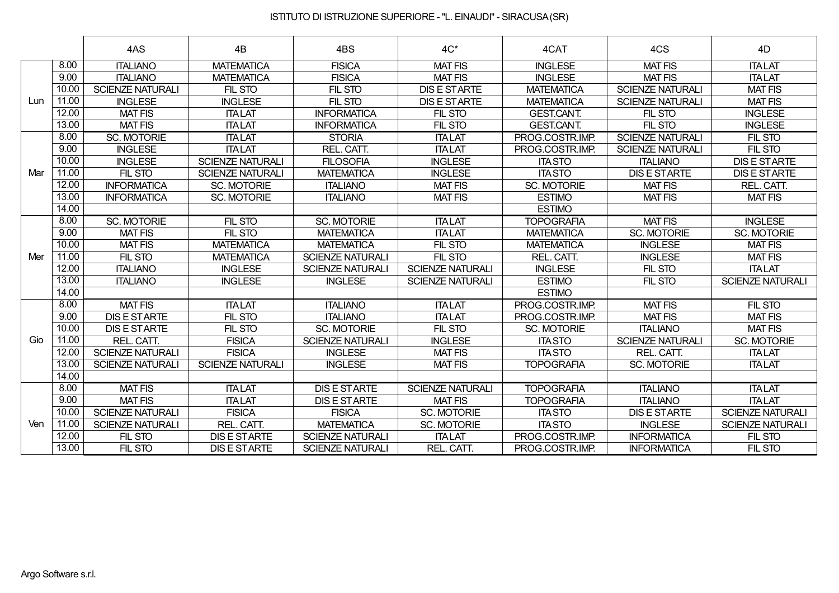|     |       | 4AS                     | 4B                      | 4BS                     | $4C^*$                  | 4CAT               | 4CS                     | 4D                      |
|-----|-------|-------------------------|-------------------------|-------------------------|-------------------------|--------------------|-------------------------|-------------------------|
|     | 8.00  | <b>ITALIANO</b>         | <b>MATEMATICA</b>       | <b>FISICA</b>           | <b>MAT FIS</b>          | <b>INGLESE</b>     | <b>MAT FIS</b>          | <b>ITALAT</b>           |
|     | 9.00  | <b>ITALIANO</b>         | <b>MATEMATICA</b>       | <b>FISICA</b>           | <b>MAT FIS</b>          | <b>INGLESE</b>     | <b>MAT FIS</b>          | <b>ITALAT</b>           |
|     | 10.00 | <b>SCIENZE NATURALI</b> | <b>FIL STO</b>          | FIL STO                 | <b>DIS E STARTE</b>     | <b>MATEMATICA</b>  | <b>SCIENZE NATURALI</b> | <b>MAT FIS</b>          |
| Lun | 11.00 | <b>INGLESE</b>          | <b>INGLESE</b>          | FIL STO                 | <b>DIS E STARTE</b>     | <b>MATEMATICA</b>  | <b>SCIENZE NATURALI</b> | <b>MAT FIS</b>          |
|     | 12.00 | <b>MAT FIS</b>          | <b>ITALAT</b>           | <b>INFORMATICA</b>      | FIL STO                 | <b>GEST.CANT.</b>  | FIL STO                 | <b>INGLESE</b>          |
|     | 13.00 | <b>MAT FIS</b>          | <b>ITALAT</b>           | <b>INFORMATICA</b>      | FIL STO                 | <b>GEST.CANT.</b>  | FIL STO                 | <b>INGLESE</b>          |
|     | 8.00  | <b>SC. MOTORIE</b>      | <b>ITALAT</b>           | <b>STORIA</b>           | <b>ITALAT</b>           | PROG.COSTR.IMP.    | <b>SCIENZE NATURALI</b> | FIL STO                 |
|     | 9.00  | <b>INGLESE</b>          | <b>ITALAT</b>           | REL. CATT.              | <b>ITALAT</b>           | PROG.COSTR.IMP.    | <b>SCIENZE NATURALI</b> | FIL STO                 |
|     | 10.00 | <b>INGLESE</b>          | <b>SCIENZE NATURALI</b> | <b>FILOSOFIA</b>        | <b>INGLESE</b>          | <b>ITASTO</b>      | <b>ITALIANO</b>         | <b>DIS E STARTE</b>     |
| Mar | 11.00 | FIL STO                 | <b>SCIENZE NATURALI</b> | <b>MATEMATICA</b>       | <b>INGLESE</b>          | <b>ITASTO</b>      | <b>DIS E STARTE</b>     | <b>DIS E STARTE</b>     |
|     | 12.00 | <b>INFORMATICA</b>      | SC. MOTORIE             | <b>ITALIANO</b>         | <b>MAT FIS</b>          | <b>SC. MOTORIE</b> | <b>MAT FIS</b>          | REL. CATT.              |
|     | 13.00 | <b>INFORMATICA</b>      | SC. MOTORIE             | <b>ITALIANO</b>         | <b>MAT FIS</b>          | <b>ESTIMO</b>      | <b>MAT FIS</b>          | <b>MAT FIS</b>          |
|     | 14.00 |                         |                         |                         |                         | <b>ESTIMO</b>      |                         |                         |
|     | 8.00  | <b>SC. MOTORIE</b>      | FIL STO                 | <b>SC. MOTORIE</b>      | <b>ITALAT</b>           | <b>TOPOGRAFIA</b>  | <b>MAT FIS</b>          | <b>INGLESE</b>          |
|     | 9.00  | <b>MAT FIS</b>          | FIL STO                 | <b>MATEMATICA</b>       | <b>ITALAT</b>           | <b>MATEMATICA</b>  | <b>SC. MOTORIE</b>      | SC. MOTORIE             |
|     | 10.00 | <b>MAT FIS</b>          | <b>MATEMATICA</b>       | <b>MATEMATICA</b>       | FIL STO                 | <b>MATEMATICA</b>  | <b>INGLESE</b>          | <b>MAT FIS</b>          |
| Mer | 11.00 | FIL STO                 | <b>MATEMATICA</b>       | <b>SCIENZE NATURALI</b> | FIL STO                 | REL. CATT.         | <b>INGLESE</b>          | <b>MAT FIS</b>          |
|     | 12.00 | <b>ITALIANO</b>         | <b>INGLESE</b>          | <b>SCIENZE NATURALI</b> | <b>SCIENZE NATURALI</b> | <b>INGLESE</b>     | FIL STO                 | <b>ITALAT</b>           |
|     | 13.00 | <b>ITALIANO</b>         | <b>INGLESE</b>          | <b>INGLESE</b>          | <b>SCIENZE NATURALI</b> | <b>ESTIMO</b>      | FIL STO                 | <b>SCIENZE NATURALI</b> |
|     | 14.00 |                         |                         |                         |                         | <b>ESTIMO</b>      |                         |                         |
|     | 8.00  | <b>MAT FIS</b>          | <b>ITALAT</b>           | <b>ITALIANO</b>         | <b>ITALAT</b>           | PROG.COSTR.IMP.    | <b>MAT FIS</b>          | FIL STO                 |
|     | 9.00  | <b>DIS E STARTE</b>     | FIL STO                 | <b>ITALIANO</b>         | <b>ITALAT</b>           | PROG.COSTR.IMP.    | <b>MAT FIS</b>          | <b>MAT FIS</b>          |
|     | 10.00 | <b>DIS E STARTE</b>     | FIL STO                 | <b>SC. MOTORIE</b>      | FIL STO                 | SC. MOTORIE        | <b>ITALIANO</b>         | <b>MAT FIS</b>          |
| Gio | 11.00 | REL. CATT.              | <b>FISICA</b>           | <b>SCIENZE NATURALI</b> | <b>INGLESE</b>          | <b>ITASTO</b>      | <b>SCIENZE NATURALI</b> | SC. MOTORIE             |
|     | 12.00 | <b>SCIENZE NATURALI</b> | <b>FISICA</b>           | <b>INGLESE</b>          | <b>MAT FIS</b>          | <b>ITASTO</b>      | REL. CATT.              | <b>ITALAT</b>           |
|     | 13.00 | <b>SCIENZE NATURALI</b> | <b>SCIENZE NATURALI</b> | <b>INGLESE</b>          | <b>MAT FIS</b>          | <b>TOPOGRAFIA</b>  | <b>SC. MOTORIE</b>      | <b>ITALAT</b>           |
|     | 14.00 |                         |                         |                         |                         |                    |                         |                         |
|     | 8.00  | <b>MAT FIS</b>          | <b>ITALAT</b>           | <b>DIS E STARTE</b>     | <b>SCIENZE NATURALI</b> | <b>TOPOGRAFIA</b>  | <b>ITALIANO</b>         | <b>ITALAT</b>           |
|     | 9.00  | <b>MAT FIS</b>          | <b>ITALAT</b>           | <b>DIS E STARTE</b>     | <b>MAT FIS</b>          | <b>TOPOGRAFIA</b>  | <b>ITALIANO</b>         | <b>ITALAT</b>           |
|     | 10.00 | <b>SCIENZE NATURALI</b> | <b>FISICA</b>           | <b>FISICA</b>           | <b>SC. MOTORIE</b>      | <b>ITASTO</b>      | <b>DIS E STARTE</b>     | <b>SCIENZE NATURALI</b> |
| Ven | 11.00 | <b>SCIENZE NATURALI</b> | REL. CATT.              | <b>MATEMATICA</b>       | <b>SC. MOTORIE</b>      | <b>ITASTO</b>      | <b>INGLESE</b>          | <b>SCIENZE NATURALI</b> |
|     | 12.00 | FIL STO                 | <b>DIS E STARTE</b>     | <b>SCIENZE NATURALI</b> | <b>ITALAT</b>           | PROG.COSTR.IMP.    | <b>INFORMATICA</b>      | FIL STO                 |
|     | 13.00 | FIL STO                 | <b>DIS E STARTE</b>     | <b>SCIENZE NATURALI</b> | REL. CATT.              | PROG.COSTR.IMP.    | <b>INFORMATICA</b>      | FIL STO                 |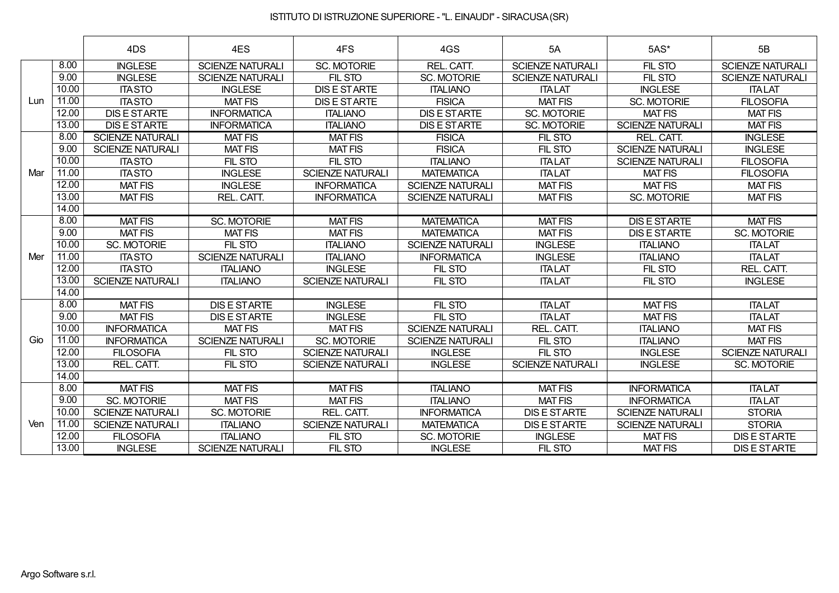|     |       | 4DS                     | 4ES                     | 4FS                     | 4GS                     | 5A                      | 5AS*                    | 5B                      |
|-----|-------|-------------------------|-------------------------|-------------------------|-------------------------|-------------------------|-------------------------|-------------------------|
|     | 8.00  | <b>INGLESE</b>          | <b>SCIENZE NATURALI</b> | <b>SC. MOTORIE</b>      | REL. CATT.              | <b>SCIENZE NATURALI</b> | FIL STO                 | <b>SCIENZE NATURALI</b> |
|     | 9.00  | <b>INGLESE</b>          | <b>SCIENZE NATURALI</b> | <b>FIL STO</b>          | <b>SC. MOTORIE</b>      | <b>SCIENZE NATURALI</b> | FIL STO                 | <b>SCIENZE NATURALI</b> |
|     | 10.00 | <b>ITASTO</b>           | <b>INGLESE</b>          | <b>DIS E STARTE</b>     | <b>ITALIANO</b>         | <b>ITALAT</b>           | <b>INGLESE</b>          | <b>ITALAT</b>           |
| Lun | 11.00 | <b>ITASTO</b>           | <b>MAT FIS</b>          | <b>DIS E STARTE</b>     | <b>FISICA</b>           | <b>MAT FIS</b>          | <b>SC. MOTORIE</b>      | <b>FILOSOFIA</b>        |
|     | 12.00 | <b>DIS E STARTE</b>     | <b>INFORMATICA</b>      | <b>ITALIANO</b>         | <b>DIS E STARTE</b>     | SC. MOTORIE             | <b>MAT FIS</b>          | <b>MAT FIS</b>          |
|     | 13.00 | <b>DIS E STARTE</b>     | <b>INFORMATICA</b>      | <b>ITALIANO</b>         | <b>DIS E STARTE</b>     | SC. MOTORIE             | <b>SCIENZE NATURALI</b> | <b>MAT FIS</b>          |
|     | 8.00  | <b>SCIENZE NATURALI</b> | <b>MAT FIS</b>          | <b>MAT FIS</b>          | <b>FISICA</b>           | FIL STO                 | REL. CATT.              | <b>INGLESE</b>          |
|     | 9.00  | <b>SCIENZE NATURALI</b> | <b>MAT FIS</b>          | <b>MAT FIS</b>          | <b>FISICA</b>           | FIL STO                 | <b>SCIENZE NATURALI</b> | <b>INGLESE</b>          |
|     | 10.00 | <b>ITASTO</b>           | FIL STO                 | FIL STO                 | <b>ITALIANO</b>         | <b>ITA LAT</b>          | <b>SCIENZE NATURALI</b> | <b>FILOSOFIA</b>        |
| Mar | 11.00 | <b>ITASTO</b>           | <b>INGLESE</b>          | <b>SCIENZE NATURALI</b> | <b>MATEMATICA</b>       | <b>ITALAT</b>           | <b>MAT FIS</b>          | <b>FILOSOFIA</b>        |
|     | 12.00 | <b>MAT FIS</b>          | <b>INGLESE</b>          | <b>INFORMATICA</b>      | <b>SCIENZE NATURALI</b> | <b>MAT FIS</b>          | <b>MAT FIS</b>          | <b>MAT FIS</b>          |
|     | 13.00 | <b>MAT FIS</b>          | REL. CATT.              | <b>INFORMATICA</b>      | <b>SCIENZE NATURALI</b> | <b>MAT FIS</b>          | <b>SC. MOTORIE</b>      | <b>MAT FIS</b>          |
|     | 14.00 |                         |                         |                         |                         |                         |                         |                         |
|     | 8.00  | <b>MAT FIS</b>          | <b>SC. MOTORIE</b>      | <b>MAT FIS</b>          | <b>MATEMATICA</b>       | <b>MAT FIS</b>          | <b>DIS E STARTE</b>     | <b>MAT FIS</b>          |
|     | 9.00  | <b>MAT FIS</b>          | <b>MAT FIS</b>          | <b>MAT FIS</b>          | <b>MATEMATICA</b>       | <b>MAT FIS</b>          | <b>DIS E STARTE</b>     | <b>SC. MOTORIE</b>      |
|     | 10.00 | <b>SC. MOTORIE</b>      | FIL STO                 | <b>ITALIANO</b>         | <b>SCIENZE NATURALI</b> | <b>INGLESE</b>          | <b>ITALIANO</b>         | <b>ITALAT</b>           |
| Mer | 11.00 | <b>ITASTO</b>           | <b>SCIENZE NATURALI</b> | <b>ITALIANO</b>         | <b>INFORMATICA</b>      | <b>INGLESE</b>          | <b>ITALIANO</b>         | <b>ITALAT</b>           |
|     | 12.00 | <b>ITA STO</b>          | <b>ITALIANO</b>         | <b>INGLESE</b>          | FIL STO                 | <b>ITALAT</b>           | FIL STO                 | REL. CATT.              |
|     | 13.00 | <b>SCIENZE NATURALI</b> | <b>ITALIANO</b>         | <b>SCIENZE NATURALI</b> | FIL STO                 | <b>ITALAT</b>           | FIL STO                 | <b>INGLESE</b>          |
|     | 14.00 |                         |                         |                         |                         |                         |                         |                         |
|     | 8.00  | <b>MAT FIS</b>          | <b>DIS E STARTE</b>     | <b>INGLESE</b>          | FIL STO                 | <b>ITALAT</b>           | <b>MAT FIS</b>          | <b>ITALAT</b>           |
|     | 9.00  | <b>MAT FIS</b>          | <b>DIS E STARTE</b>     | <b>INGLESE</b>          | FIL STO                 | <b>ITALAT</b>           | <b>MAT FIS</b>          | <b>ITALAT</b>           |
|     | 10.00 | <b>INFORMATICA</b>      | <b>MAT FIS</b>          | <b>MAT FIS</b>          | <b>SCIENZE NATURALI</b> | REL. CATT.              | <b>ITALIANO</b>         | <b>MAT FIS</b>          |
| Gio | 11.00 | <b>INFORMATICA</b>      | <b>SCIENZE NATURALI</b> | <b>SC. MOTORIE</b>      | <b>SCIENZE NATURALI</b> | FIL STO                 | <b>ITALIANO</b>         | <b>MAT FIS</b>          |
|     | 12.00 | <b>FILOSOFIA</b>        | FIL STO                 | <b>SCIENZE NATURALI</b> | <b>INGLESE</b>          | FIL STO                 | <b>INGLESE</b>          | <b>SCIENZE NATURALI</b> |
|     | 13.00 | REL. CATT.              | FIL STO                 | <b>SCIENZE NATURALI</b> | <b>INGLESE</b>          | <b>SCIENZE NATURALI</b> | <b>INGLESE</b>          | <b>SC. MOTORIE</b>      |
|     | 14.00 |                         |                         |                         |                         |                         |                         |                         |
|     | 8.00  | <b>MAT FIS</b>          | <b>MAT FIS</b>          | <b>MAT FIS</b>          | <b>ITALIANO</b>         | <b>MAT FIS</b>          | <b>INFORMATICA</b>      | <b>ITALAT</b>           |
|     | 9.00  | <b>SC. MOTORIE</b>      | <b>MAT FIS</b>          | <b>MAT FIS</b>          | <b>ITALIANO</b>         | <b>MAT FIS</b>          | <b>INFORMATICA</b>      | <b>ITALAT</b>           |
|     | 10.00 | <b>SCIENZE NATURALI</b> | <b>SC. MOTORIE</b>      | REL. CATT.              | <b>INFORMATICA</b>      | <b>DIS E STARTE</b>     | <b>SCIENZE NATURALI</b> | <b>STORIA</b>           |
| Ven | 11.00 | <b>SCIENZE NATURALI</b> | <b>ITALIANO</b>         | <b>SCIENZE NATURALI</b> | <b>MATEMATICA</b>       | <b>DIS E STARTE</b>     | <b>SCIENZE NATURALI</b> | <b>STORIA</b>           |
|     | 12.00 | <b>FILOSOFIA</b>        | <b>ITALIANO</b>         | FIL STO                 | <b>SC. MOTORIE</b>      | <b>INGLESE</b>          | <b>MAT FIS</b>          | <b>DIS E STARTE</b>     |
|     | 13.00 | <b>INGLESE</b>          | <b>SCIENZE NATURALI</b> | FIL STO                 | <b>INGLESE</b>          | <b>FIL STO</b>          | <b>MAT FIS</b>          | <b>DIS E STARTE</b>     |